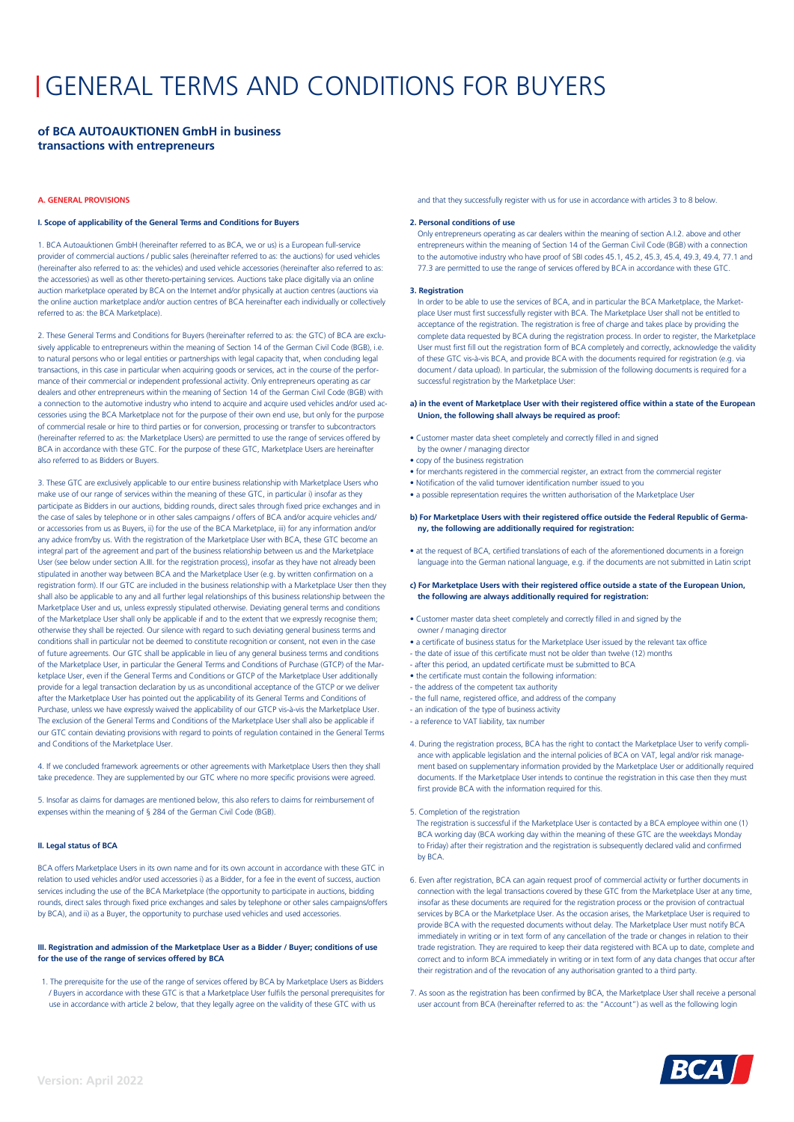# GENERAL TERMS AND CONDITIONS FOR BUYERS

# **of BCA AUTOAUKTIONEN GmbH in business transactions with entrepreneurs**

# **A. GENERAL PROVISIONS**

# **I. Scope of applicability of the General Terms and Conditions for Buyers**

1. BCA Autoauktionen GmbH (hereinafter referred to as BCA, we or us) is a European full-service provider of commercial auctions / public sales (hereinafter referred to as: the auctions) for used vehicles (hereinafter also referred to as: the vehicles) and used vehicle accessories (hereinafter also referred to as: the accessories) as well as other thereto-pertaining services. Auctions take place digitally via an online auction marketplace operated by BCA on the Internet and/or physically at auction centres (auctions via the online auction marketplace and/or auction centres of BCA hereinafter each individually or collectively referred to as: the BCA Marketplace).

2. These General Terms and Conditions for Buyers (hereinafter referred to as: the GTC) of BCA are exclusively applicable to entrepreneurs within the meaning of Section 14 of the German Civil Code (BGB), i.e. to natural persons who or legal entities or partnerships with legal capacity that, when concluding legal transactions, in this case in particular when acquiring goods or services, act in the course of the performance of their commercial or independent professional activity. Only entrepreneurs operating as car dealers and other entrepreneurs within the meaning of Section 14 of the German Civil Code (BGB) with a connection to the automotive industry who intend to acquire and acquire used vehicles and/or used accessories using the BCA Marketplace not for the purpose of their own end use, but only for the purpose of commercial resale or hire to third parties or for conversion, processing or transfer to subcontractors (hereinafter referred to as: the Marketplace Users) are permitted to use the range of services offered by BCA in accordance with these GTC. For the purpose of these GTC. Marketplace Users are hereinafter also referred to as Bidders or Buyers.

3. These GTC are exclusively applicable to our entire business relationship with Marketplace Users who make use of our range of services within the meaning of these GTC, in particular i) insofar as they participate as Bidders in our auctions, bidding rounds, direct sales through fixed price exchanges and in the case of sales by telephone or in other sales campaigns / offers of BCA and/or acquire vehicles and/ or accessories from us as Buyers, ii) for the use of the BCA Marketplace, iii) for any information and/or any advice from/by us. With the registration of the Marketplace User with BCA, these GTC become an integral part of the agreement and part of the business relationship between us and the Marketplace User (see below under section A.III. for the registration process), insofar as they have not already been stipulated in another way between BCA and the Marketplace User (e.g. by written confirmation on a registration form). If our GTC are included in the business relationship with a Marketplace User then they shall also be applicable to any and all further legal relationships of this business relationship between the Marketplace User and us, unless expressly stipulated otherwise. Deviating general terms and conditions of the Marketplace User shall only be applicable if and to the extent that we expressly recognise them; otherwise they shall be rejected. Our silence with regard to such deviating general business terms and conditions shall in particular not be deemed to constitute recognition or consent, not even in the case of future agreements. Our GTC shall be applicable in lieu of any general business terms and conditions of the Marketplace User, in particular the General Terms and Conditions of Purchase (GTCP) of the Marketplace User, even if the General Terms and Conditions or GTCP of the Marketplace User additionally provide for a legal transaction declaration by us as unconditional acceptance of the GTCP or we deliver after the Marketplace User has pointed out the applicability of its General Terms and Conditions of Purchase, unless we have expressly waived the applicability of our GTCP vis-à-vis the Marketplace User. The exclusion of the General Terms and Conditions of the Marketplace User shall also be applicable if our GTC contain deviating provisions with regard to points of regulation contained in the General Terms and Conditions of the Marketplace User.

4. If we concluded framework agreements or other agreements with Marketplace Users then they shall take precedence. They are supplemented by our GTC where no more specific provisions were agreed.

5. Insofar as claims for damages are mentioned below, this also refers to claims for reimbursement of expenses within the meaning of § 284 of the German Civil Code (BGB).

# **II. Legal status of BCA**

BCA offers Marketplace Users in its own name and for its own account in accordance with these GTC in relation to used vehicles and/or used accessories i) as a Bidder, for a fee in the event of success, auction services including the use of the BCA Marketplace (the opportunity to participate in auctions, bidding rounds, direct sales through fixed price exchanges and sales by telephone or other sales campaigns/offers by BCA), and ii) as a Buyer, the opportunity to purchase used vehicles and used accessories.

# **III. Registration and admission of the Marketplace User as a Bidder / Buyer; conditions of use for the use of the range of services offered by BCA**

1. The prerequisite for the use of the range of services offered by BCA by Marketplace Users as Bidders / Buyers in accordance with these GTC is that a Marketplace User fulfils the personal prerequisites for use in accordance with article 2 below, that they legally agree on the validity of these GTC with us

and that they successfully register with us for use in accordance with articles 3 to 8 below.

#### **2. Personal conditions of use**

Only entrepreneurs operating as car dealers within the meaning of section A.I.2. above and other entrepreneurs within the meaning of Section 14 of the German Civil Code (BGB) with a connection to the automotive industry who have proof of SBI codes 45.1, 45.2, 45.3, 45.4, 49.3, 49.4, 77.1 and 77.3 are permitted to use the range of services offered by BCA in accordance with these GTC.

# **3. Registration**

In order to be able to use the services of BCA, and in particular the BCA Marketplace, the Marketplace User must first successfully register with BCA. The Marketplace User shall not be entitled to acceptance of the registration. The registration is free of charge and takes place by providing the complete data requested by BCA during the registration process. In order to register, the Marketplace User must first fill out the registration form of BCA completely and correctly, acknowledge the validity of these GTC vis-à-vis BCA, and provide BCA with the documents required for registration (e.g. via document / data upload). In particular, the submission of the following documents is required for a successful registration by the Marketplace User:

# **a) in the event of Marketplace User with their registered office within a state of the European Union, the following shall always be required as proof:**

- Customer master data sheet completely and correctly filled in and signed by the owner / managing director
- copy of the business registration
- for merchants registered in the commercial register, an extract from the commercial register
- Notification of the valid turnover identification number issued to you
- a possible representation requires the written authorisation of the Marketplace User

# **b) For Marketplace Users with their registered office outside the Federal Republic of Germany, the following are additionally required for registration:**

• at the request of BCA, certified translations of each of the aforementioned documents in a foreign language into the German national language, e.g. if the documents are not submitted in Latin script

## **c) For Marketplace Users with their registered office outside a state of the European Union, the following are always additionally required for registration:**

- Customer master data sheet completely and correctly filled in and signed by the owner / managing director
- $\bullet$  a certificate of business status for the Marketplace User issued by the relevant tax office
- the date of issue of this certificate must not be older than twelve (12) months
- after this period, an updated certificate must be submitted to BCA
- the certificate must contain the following information:
- the address of the competent tax authority
- the full name, registered office, and address of the company
- an indication of the type of business activity
- a reference to VAT liability, tax number

4. During the registration process, BCA has the right to contact the Marketplace User to verify compliance with applicable legislation and the internal policies of BCA on VAT, legal and/or risk management based on supplementary information provided by the Marketplace User or additionally required documents. If the Marketplace User intends to continue the registration in this case then they must first provide BCA with the information required for this.

5. Completion of the registration

 The registration is successful if the Marketplace User is contacted by a BCA employee within one (1) BCA working day (BCA working day within the meaning of these GTC are the weekdays Monday to Friday) after their registration and the registration is subsequently declared valid and confirmed by BCA.

- 6. Even after registration, BCA can again request proof of commercial activity or further documents in connection with the legal transactions covered by these GTC from the Marketplace User at any time, insofar as these documents are required for the registration process or the provision of contractual services by BCA or the Marketplace User. As the occasion arises, the Marketplace User is required to provide BCA with the requested documents without delay. The Marketplace User must notify BCA immediately in writing or in text form of any cancellation of the trade or changes in relation to their trade registration. They are required to keep their data registered with BCA up to date, complete and correct and to inform BCA immediately in writing or in text form of any data changes that occur after their registration and of the revocation of any authorisation granted to a third party.
- 7. As soon as the registration has been confirmed by BCA, the Marketplace User shall receive a personal user account from BCA (hereinafter referred to as: the "Account") as well as the following login

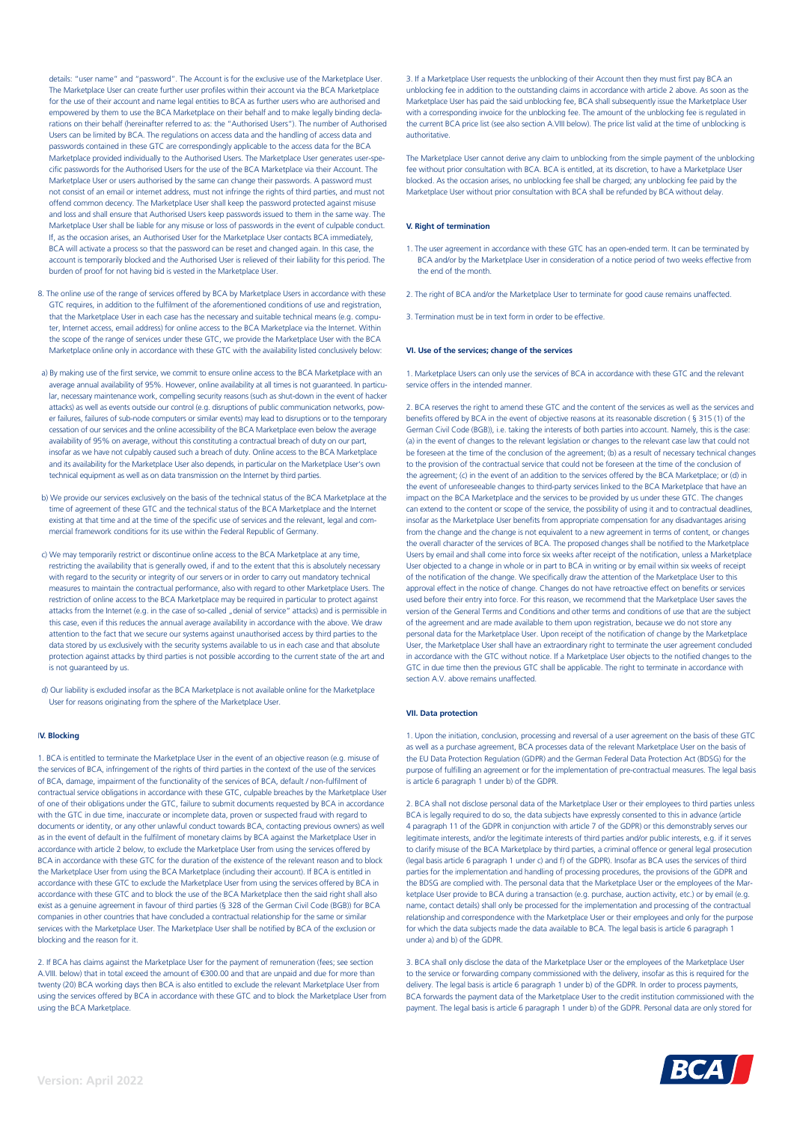details: "user name" and "password". The Account is for the exclusive use of the Marketplace User. The Marketplace User can create further user profiles within their account via the BCA Marketplace for the use of their account and name legal entities to BCA as further users who are authorised and empowered by them to use the BCA Marketplace on their behalf and to make legally binding declarations on their behalf (hereinafter referred to as: the "Authorised Users"). The number of Authorised Users can be limited by BCA. The regulations on access data and the handling of access data and passwords contained in these GTC are correspondingly applicable to the access data for the BCA Marketplace provided individually to the Authorised Users. The Marketplace User generates user-specific passwords for the Authorised Users for the use of the BCA Marketplace via their Account. The Marketplace User or users authorised by the same can change their passwords. A password must not consist of an email or internet address, must not infringe the rights of third parties, and must not offend common decency. The Marketplace User shall keep the password protected against misuse and loss and shall ensure that Authorised Users keep passwords issued to them in the same way. The Marketplace User shall be liable for any misuse or loss of passwords in the event of culpable conduct. If, as the occasion arises, an Authorised User for the Marketplace User contacts BCA immediately, BCA will activate a process so that the password can be reset and changed again. In this case, the account is temporarily blocked and the Authorised User is relieved of their liability for this period. The burden of proof for not having bid is vested in the Marketplace User.

- 8. The online use of the range of services offered by BCA by Marketplace Users in accordance with these GTC requires, in addition to the fulfilment of the aforementioned conditions of use and registration, that the Marketplace User in each case has the necessary and suitable technical means (e.g. computer, Internet access, email address) for online access to the BCA Marketplace via the Internet. Within the scope of the range of services under these GTC, we provide the Marketplace User with the BCA Marketplace online only in accordance with these GTC with the availability listed conclusively below:
- a) By making use of the first service, we commit to ensure online access to the BCA Marketplace with an average annual availability of 95%. However, online availability at all times is not guaranteed. In particular, necessary maintenance work, compelling security reasons (such as shut-down in the event of hacker attacks) as well as events outside our control (e.g. disruptions of public communication networks, power failures, failures of sub-node computers or similar events) may lead to disruptions or to the temporary cessation of our services and the online accessibility of the BCA Marketplace even below the average availability of 95% on average, without this constituting a contractual breach of duty on our part, insofar as we have not culpably caused such a breach of duty. Online access to the BCA Marketplace and its availability for the Marketplace User also depends, in particular on the Marketplace User's own technical equipment as well as on data transmission on the Internet by third parties.
- b) We provide our services exclusively on the basis of the technical status of the BCA Marketplace at the time of agreement of these GTC and the technical status of the BCA Marketplace and the Internet existing at that time and at the time of the specific use of services and the relevant, legal and commercial framework conditions for its use within the Federal Republic of Germany.
- c) We may temporarily restrict or discontinue online access to the BCA Marketplace at any time, restricting the availability that is generally owed, if and to the extent that this is absolutely necessary with regard to the security or integrity of our servers or in order to carry out mandatory technical measures to maintain the contractual performance, also with regard to other Marketplace Users. The restriction of online access to the BCA Marketplace may be required in particular to protect against attacks from the Internet (e.g. in the case of so-called "denial of service" attacks) and is permissible in this case, even if this reduces the annual average availability in accordance with the above. We draw attention to the fact that we secure our systems against unauthorised access by third parties to the data stored by us exclusively with the security systems available to us in each case and that absolute protection against attacks by third parties is not possible according to the current state of the art and is not guaranteed by us.
- d) Our liability is excluded insofar as the BCA Marketplace is not available online for the Marketplace User for reasons originating from the sphere of the Marketplace User.

# I**V. Blocking**

1. BCA is entitled to terminate the Marketplace User in the event of an objective reason (e.g. misuse of the services of BCA, infringement of the rights of third parties in the context of the use of the services of BCA, damage, impairment of the functionality of the services of BCA, default / non-fulfilment of contractual service obligations in accordance with these GTC, culpable breaches by the Marketplace User of one of their obligations under the GTC, failure to submit documents requested by BCA in accordance with the GTC in due time, inaccurate or incomplete data, proven or suspected fraud with regard to documents or identity, or any other unlawful conduct towards BCA, contacting previous owners) as well as in the event of default in the fulfilment of monetary claims by BCA against the Marketplace User in accordance with article 2 below, to exclude the Marketplace User from using the services offered by BCA in accordance with these GTC for the duration of the existence of the relevant reason and to block the Marketplace User from using the BCA Marketplace (including their account). If BCA is entitled in accordance with these GTC to exclude the Marketplace User from using the services offered by BCA in accordance with these GTC and to block the use of the BCA Marketplace then the said right shall also exist as a genuine agreement in favour of third parties (§ 328 of the German Civil Code (BGB)) for BCA companies in other countries that have concluded a contractual relationship for the same or similar services with the Marketplace User. The Marketplace User shall be notified by BCA of the exclusion or blocking and the reason for it.

2. If BCA has claims against the Marketplace User for the payment of remuneration (fees; see section A.VIII. below) that in total exceed the amount of €300.00 and that are unpaid and due for more than twenty (20) BCA working days then BCA is also entitled to exclude the relevant Marketplace User from using the services offered by BCA in accordance with these GTC and to block the Marketplace User from using the BCA Marketplace.

3. If a Marketplace User requests the unblocking of their Account then they must first pay BCA an unblocking fee in addition to the outstanding claims in accordance with article 2 above. As soon as the Marketplace User has paid the said unblocking fee, BCA shall subsequently issue the Marketplace User with a corresponding invoice for the unblocking fee. The amount of the unblocking fee is regulated in the current BCA price list (see also section A.VIII below). The price list valid at the time of unblocking is authoritative.

The Marketplace User cannot derive any claim to unblocking from the simple payment of the unblocking fee without prior consultation with BCA. BCA is entitled, at its discretion, to have a Marketplace User blocked. As the occasion arises, no unblocking fee shall be charged; any unblocking fee paid by the Marketplace User without prior consultation with BCA shall be refunded by BCA without delay.

# **V. Right of termination**

- 1. The user agreement in accordance with these GTC has an open-ended term. It can be terminated by BCA and/or by the Marketplace User in consideration of a notice period of two weeks effective from the end of the month.
- 2. The right of BCA and/or the Marketplace User to terminate for good cause remains unaffected.
- 3. Termination must be in text form in order to be effective.

# **VI. Use of the services; change of the services**

1. Marketplace Users can only use the services of BCA in accordance with these GTC and the relevant service offers in the intended manner.

2. BCA reserves the right to amend these GTC and the content of the services as well as the services and benefits offered by BCA in the event of objective reasons at its reasonable discretion ( § 315 (1) of the German Civil Code (BGB)), i.e. taking the interests of both parties into account. Namely, this is the case: (a) in the event of changes to the relevant legislation or changes to the relevant case law that could not be foreseen at the time of the conclusion of the agreement; (b) as a result of necessary technical changes to the provision of the contractual service that could not be foreseen at the time of the conclusion of the agreement; (c) in the event of an addition to the services offered by the BCA Marketplace; or (d) in the event of unforeseeable changes to third-party services linked to the BCA Marketplace that have an impact on the BCA Marketplace and the services to be provided by us under these GTC. The changes can extend to the content or scope of the service, the possibility of using it and to contractual deadlines, insofar as the Marketplace User benefits from appropriate compensation for any disadvantages arising from the change and the change is not equivalent to a new agreement in terms of content, or changes the overall character of the services of BCA. The proposed changes shall be notified to the Marketplace Users by email and shall come into force six weeks after receipt of the notification, unless a Marketplace User objected to a change in whole or in part to BCA in writing or by email within six weeks of receipt of the notification of the change. We specifically draw the attention of the Marketplace User to this approval effect in the notice of change. Changes do not have retroactive effect on benefits or services used before their entry into force. For this reason, we recommend that the Marketplace User saves the version of the General Terms and Conditions and other terms and conditions of use that are the subject of the agreement and are made available to them upon registration, because we do not store any personal data for the Marketplace User. Upon receipt of the notification of change by the Marketplace User, the Marketplace User shall have an extraordinary right to terminate the user agreement concluded in accordance with the GTC without notice. If a Marketplace User objects to the notified changes to the GTC in due time then the previous GTC shall be applicable. The right to terminate in accordance with section A.V. above remains unaffected.

# **VII. Data protection**

1. Upon the initiation, conclusion, processing and reversal of a user agreement on the basis of these GTC as well as a purchase agreement, BCA processes data of the relevant Marketplace User on the basis of the EU Data Protection Regulation (GDPR) and the German Federal Data Protection Act (BDSG) for the purpose of fulfilling an agreement or for the implementation of pre-contractual measures. The legal basis is article 6 paragraph 1 under b) of the GDPR.

2. BCA shall not disclose personal data of the Marketplace User or their employees to third parties unless BCA is legally required to do so, the data subjects have expressly consented to this in advance (article 4 paragraph 11 of the GDPR in conjunction with article 7 of the GDPR) or this demonstrably serves our legitimate interests, and/or the legitimate interests of third parties and/or public interests, e.g. if it serves to clarify misuse of the BCA Marketplace by third parties, a criminal offence or general legal prosecution (legal basis article 6 paragraph 1 under c) and f) of the GDPR). Insofar as BCA uses the services of third parties for the implementation and handling of processing procedures, the provisions of the GDPR and the BDSG are complied with. The personal data that the Marketplace User or the employees of the Marketplace User provide to BCA during a transaction (e.g. purchase, auction activity, etc.) or by email (e.g. name, contact details) shall only be processed for the implementation and processing of the contractual relationship and correspondence with the Marketplace User or their employees and only for the purpose for which the data subjects made the data available to BCA. The legal basis is article 6 paragraph 1 under a) and b) of the GDPR.

3. BCA shall only disclose the data of the Marketplace User or the employees of the Marketplace User to the service or forwarding company commissioned with the delivery, insofar as this is required for the delivery. The legal basis is article 6 paragraph 1 under b) of the GDPR. In order to process payments, BCA forwards the payment data of the Marketplace User to the credit institution commissioned with the payment. The legal basis is article 6 paragraph 1 under b) of the GDPR. Personal data are only stored for

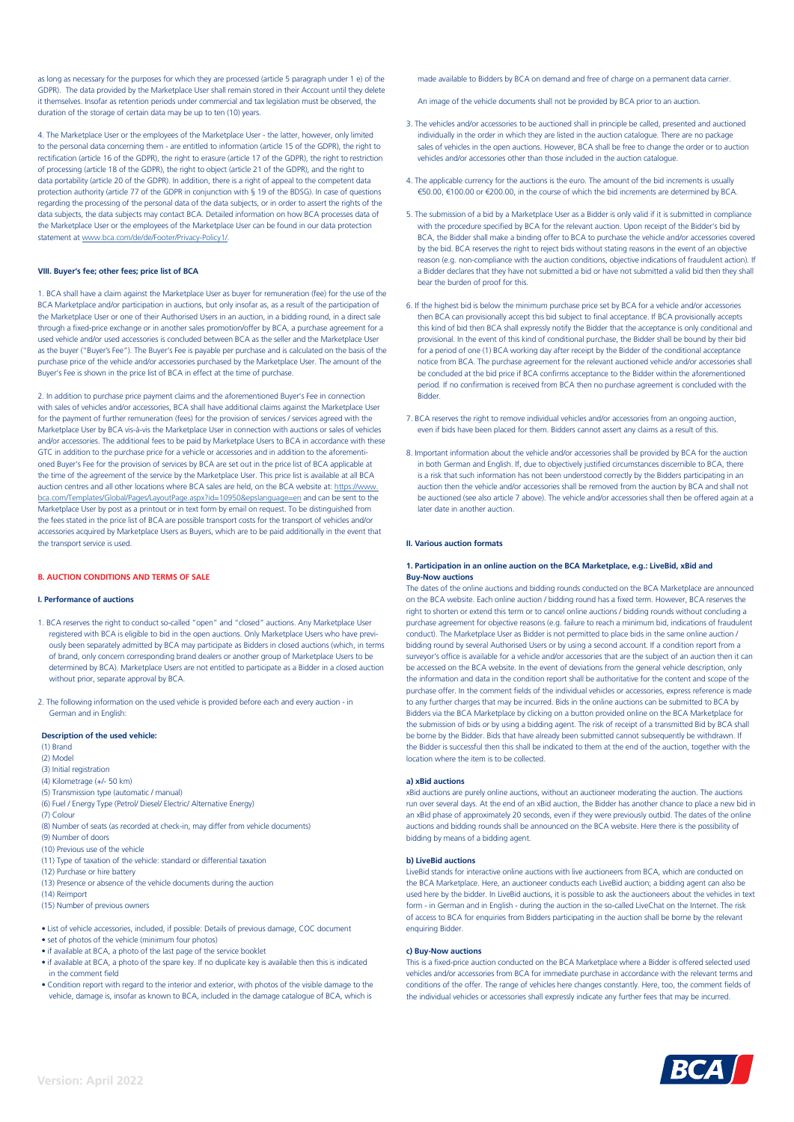as long as necessary for the purposes for which they are processed (article 5 paragraph under 1 e) of the GDPR). The data provided by the Marketplace User shall remain stored in their Account until they delete it themselves. Insofar as retention periods under commercial and tax legislation must be observed, the duration of the storage of certain data may be up to ten (10) years.

4. The Marketplace User or the employees of the Marketplace User - the latter, however, only limited to the personal data concerning them - are entitled to information (article 15 of the GDPR), the right to rectification (article 16 of the GDPR), the right to erasure (article 17 of the GDPR), the right to restriction of processing (article 18 of the GDPR), the right to object (article 21 of the GDPR), and the right to data portability (article 20 of the GDPR). In addition, there is a right of appeal to the competent data protection authority (article 77 of the GDPR in conjunction with § 19 of the BDSG). In case of questions regarding the processing of the personal data of the data subjects, or in order to assert the rights of the data subjects, the data subjects may contact BCA. Detailed information on how BCA processes data of the Marketplace User or the employees of the Marketplace User can be found in our data protection statement at [www.bca.com/de/de/Footer/Privacy-Policy1/](http://www.bca.com/de/de/Footer/Privacy-Policy1/).

# **VIII. Buyer's fee; other fees; price list of BCA**

1. BCA shall have a claim against the Marketplace User as buyer for remuneration (fee) for the use of the BCA Marketplace and/or participation in auctions, but only insofar as, as a result of the participation of the Marketplace User or one of their Authorised Users in an auction, in a bidding round, in a direct sale through a fixed-price exchange or in another sales promotion/offer by BCA, a purchase agreement for a used vehicle and/or used accessories is concluded between BCA as the seller and the Marketplace User as the buyer ("Buyer's Fee"). The Buyer's Fee is payable per purchase and is calculated on the basis of the purchase price of the vehicle and/or accessories purchased by the Marketplace User. The amount of the Buyer's Fee is shown in the price list of BCA in effect at the time of purchase.

2. In addition to purchase price payment claims and the aforementioned Buyer's Fee in connection with sales of vehicles and/or accessories, BCA shall have additional claims against the Marketplace User for the payment of further remuneration (fees) for the provision of services / services agreed with the Marketplace User by BCA vis-à-vis the Marketplace User in connection with auctions or sales of vehicles and/or accessories. The additional fees to be paid by Marketplace Users to BCA in accordance with these GTC in addition to the purchase price for a vehicle or accessories and in addition to the aforementioned Buyer's Fee for the provision of services by BCA are set out in the price list of BCA applicable at the time of the agreement of the service by the Marketplace User. This price list is available at all BCA auction centres and all other locations where BCA sales are held, on the BCA website at: [https://www.](https://www.bca.com/Templates/Global/Pages/LayoutPage.aspx?id=10950&epslanguage=en) [bca.com/Templates/Global/Pages/LayoutPage.aspx?id=10950&epslanguage=en](https://www.bca.com/Templates/Global/Pages/LayoutPage.aspx?id=10950&epslanguage=en) and can be sent to the Marketplace User by post as a printout or in text form by email on request. To be distinguished from the fees stated in the price list of BCA are possible transport costs for the transport of vehicles and/or accessories acquired by Marketplace Users as Buyers, which are to be paid additionally in the event that the transport service is used.

# **B. AUCTION CONDITIONS AND TERMS OF SALE**

#### **I. Performance of auctions**

- 1. BCA reserves the right to conduct so-called "open" and "closed" auctions. Any Marketplace User registered with BCA is eligible to bid in the open auctions. Only Marketplace Users who have previously been separately admitted by BCA may participate as Bidders in closed auctions (which, in terms of brand, only concern corresponding brand dealers or another group of Marketplace Users to be determined by BCA). Marketplace Users are not entitled to participate as a Bidder in a closed auction without prior, separate approval by BCA.
- 2. The following information on the used vehicle is provided before each and every auction in German and in English:

#### **Description of the used vehicle:**

- (1) Brand
- (2) Model
- (3) Initial registration
- (4) Kilometrage (+/- 50 km)
- (5) Transmission type (automatic / manual) (6) Fuel / Energy Type (Petrol/ Diesel/ Electric/ Alternative Energy)
- (7) Colour
- (8) Number of seats (as recorded at check-in, may differ from vehicle documents)
- (9) Number of doors
- (10) Previous use of the vehicle
- (11) Type of taxation of the vehicle: standard or differential taxation
- (12) Purchase or hire battery
- (13) Presence or absence of the vehicle documents during the auction
- (14) Reimport
- (15) Number of previous owners
- List of vehicle accessories, included, if possible: Details of previous damage, COC document
- set of photos of the vehicle (minimum four photos)
- if available at BCA, a photo of the last page of the service booklet
- if available at BCA, a photo of the spare key. If no duplicate key is available then this is indicated in the comment field
- Condition report with regard to the interior and exterior, with photos of the visible damage to the vehicle, damage is, insofar as known to BCA, included in the damage catalogue of BCA, which is

made available to Bidders by BCA on demand and free of charge on a permanent data carrier.

An image of the vehicle documents shall not be provided by BCA prior to an auction.

- 3. The vehicles and/or accessories to be auctioned shall in principle be called, presented and auctioned individually in the order in which they are listed in the auction catalogue. There are no package sales of vehicles in the open auctions. However, BCA shall be free to change the order or to auction vehicles and/or accessories other than those included in the auction catalogue.
- 4. The applicable currency for the auctions is the euro. The amount of the bid increments is usually €50.00, €100.00 or €200.00, in the course of which the bid increments are determined by BCA.
- 5. The submission of a bid by a Marketplace User as a Bidder is only valid if it is submitted in compliance with the procedure specified by BCA for the relevant auction. Upon receipt of the Bidder's bid by BCA, the Bidder shall make a binding offer to BCA to purchase the vehicle and/or accessories covered by the bid. BCA reserves the right to reject bids without stating reasons in the event of an objective reason (e.g. non-compliance with the auction conditions, objective indications of fraudulent action). If a Bidder declares that they have not submitted a bid or have not submitted a valid bid then they shall bear the burden of proof for this.
- 6. If the highest bid is below the minimum purchase price set by BCA for a vehicle and/or accessories then BCA can provisionally accept this bid subject to final acceptance. If BCA provisionally accepts this kind of bid then BCA shall expressly notify the Bidder that the acceptance is only conditional and provisional. In the event of this kind of conditional purchase, the Bidder shall be bound by their bid for a period of one (1) BCA working day after receipt by the Bidder of the conditional acceptance notice from BCA. The purchase agreement for the relevant auctioned vehicle and/or accessories shall be concluded at the bid price if BCA confirms acceptance to the Bidder within the aforementioned period. If no confirmation is received from BCA then no purchase agreement is concluded with the Bidder.
- 7. BCA reserves the right to remove individual vehicles and/or accessories from an ongoing auction, even if bids have been placed for them. Bidders cannot assert any claims as a result of this.
- 8. Important information about the vehicle and/or accessories shall be provided by BCA for the auction in both German and English. If, due to objectively justified circumstances discernible to BCA, there is a risk that such information has not been understood correctly by the Bidders participating in an auction then the vehicle and/or accessories shall be removed from the auction by BCA and shall not be auctioned (see also article 7 above). The vehicle and/or accessories shall then be offered again at a later date in another auction.

#### **II. Various auction formats**

# **1. Participation in an online auction on the BCA Marketplace, e.g.: LiveBid, xBid and Buy-Now auctions**

The dates of the online auctions and bidding rounds conducted on the BCA Marketplace are announced on the BCA website. Each online auction / bidding round has a fixed term. However, BCA reserves the right to shorten or extend this term or to cancel online auctions / bidding rounds without concluding a purchase agreement for objective reasons (e.g. failure to reach a minimum bid, indications of fraudulent conduct). The Marketplace User as Bidder is not permitted to place bids in the same online auction / bidding round by several Authorised Users or by using a second account. If a condition report from a surveyor's office is available for a vehicle and/or accessories that are the subject of an auction then it can be accessed on the BCA website. In the event of deviations from the general vehicle description, only the information and data in the condition report shall be authoritative for the content and scope of the purchase offer. In the comment fields of the individual vehicles or accessories, express reference is made to any further charges that may be incurred. Bids in the online auctions can be submitted to BCA by Bidders via the BCA Marketplace by clicking on a button provided online on the BCA Marketplace for the submission of bids or by using a bidding agent. The risk of receipt of a transmitted Bid by BCA shall be borne by the Bidder. Bids that have already been submitted cannot subsequently be withdrawn. If the Bidder is successful then this shall be indicated to them at the end of the auction, together with the location where the item is to be collected.

# **a) xBid auctions**

xBid auctions are purely online auctions, without an auctioneer moderating the auction. The auctions run over several days. At the end of an xBid auction, the Bidder has another chance to place a new bid in an xBid phase of approximately 20 seconds, even if they were previously outbid. The dates of the online auctions and bidding rounds shall be announced on the BCA website. Here there is the possibility of bidding by means of a bidding agent.

## **b) LiveBid auctions**

LiveBid stands for interactive online auctions with live auctioneers from BCA, which are conducted on the BCA Marketplace. Here, an auctioneer conducts each LiveBid auction; a bidding agent can also be used here by the bidder. In LiveBid auctions, it is possible to ask the auctioneers about the vehicles in text form - in German and in English - during the auction in the so-called LiveChat on the Internet. The risk of access to BCA for enquiries from Bidders participating in the auction shall be borne by the relevant enquiring Bidder.

#### **c) Buy-Now auctions**

This is a fixed-price auction conducted on the BCA Marketplace where a Bidder is offered selected used vehicles and/or accessories from BCA for immediate purchase in accordance with the relevant terms and conditions of the offer. The range of vehicles here changes constantly. Here, too, the comment fields of the individual vehicles or accessories shall expressly indicate any further fees that may be incurred.

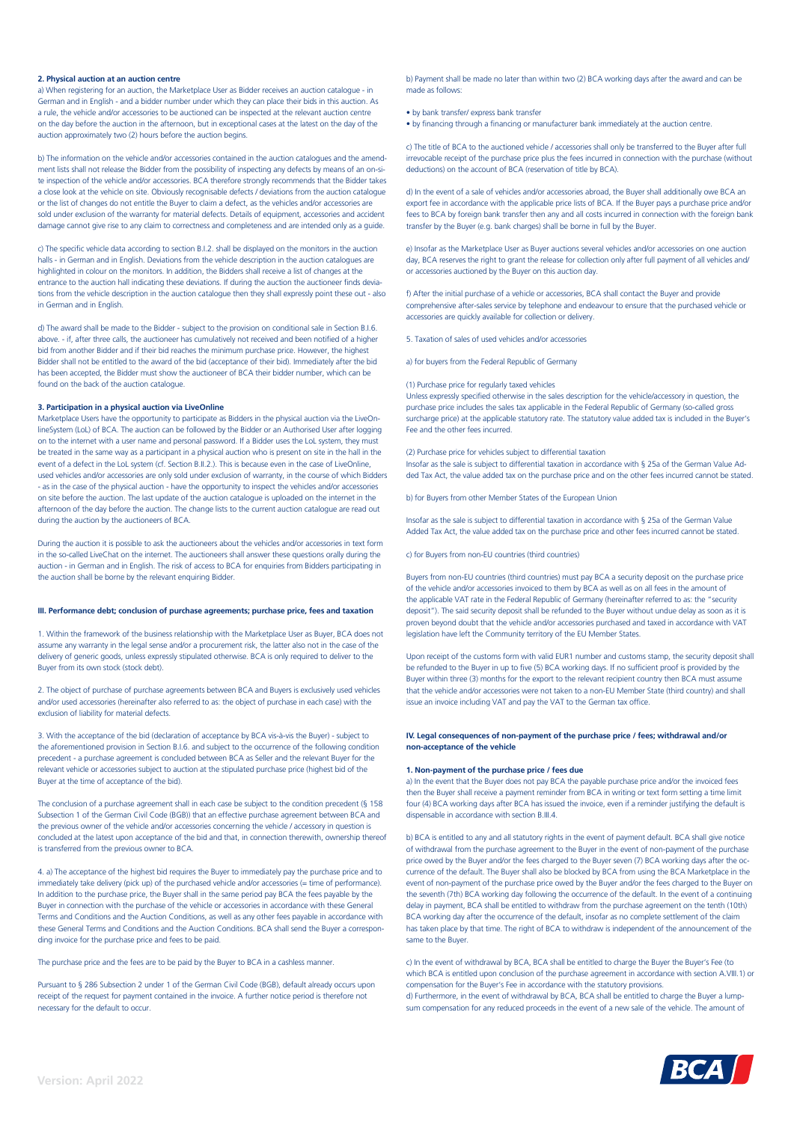# **2. Physical auction at an auction centre**

a) When registering for an auction, the Marketplace User as Bidder receives an auction catalogue - in German and in English - and a bidder number under which they can place their bids in this auction. As a rule, the vehicle and/or accessories to be auctioned can be inspected at the relevant auction centre on the day before the auction in the afternoon, but in exceptional cases at the latest on the day of the auction approximately two (2) hours before the auction begins.

b) The information on the vehicle and/or accessories contained in the auction catalogues and the amendment lists shall not release the Bidder from the possibility of inspecting any defects by means of an on-site inspection of the vehicle and/or accessories. BCA therefore strongly recommends that the Bidder takes a close look at the vehicle on site. Obviously recognisable defects / deviations from the auction catalogue or the list of changes do not entitle the Buyer to claim a defect, as the vehicles and/or accessories are sold under exclusion of the warranty for material defects. Details of equipment, accessories and accident damage cannot give rise to any claim to correctness and completeness and are intended only as a guide.

c) The specific vehicle data according to section B.I.2. shall be displayed on the monitors in the auction halls - in German and in English. Deviations from the vehicle description in the auction catalogues are highlighted in colour on the monitors. In addition, the Bidders shall receive a list of changes at the entrance to the auction hall indicating these deviations. If during the auction the auctioneer finds deviations from the vehicle description in the auction catalogue then they shall expressly point these out - also in German and in English.

d) The award shall be made to the Bidder - subject to the provision on conditional sale in Section B.I.6. above. - if, after three calls, the auctioneer has cumulatively not received and been notified of a higher bid from another Bidder and if their bid reaches the minimum purchase price. However, the highest Bidder shall not be entitled to the award of the bid (acceptance of their bid). Immediately after the bid has been accepted, the Bidder must show the auctioneer of BCA their bidder number, which can be found on the back of the auction catalogue.

# **3. Participation in a physical auction via LiveOnline**

Marketplace Users have the opportunity to participate as Bidders in the physical auction via the LiveOnlineSystem (LoL) of BCA. The auction can be followed by the Bidder or an Authorised User after logging on to the internet with a user name and personal password. If a Bidder uses the LoL system, they must be treated in the same way as a participant in a physical auction who is present on site in the hall in the event of a defect in the LoL system (cf. Section B.II.2.). This is because even in the case of LiveOnline used vehicles and/or accessories are only sold under exclusion of warranty, in the course of which Bidders - as in the case of the physical auction - have the opportunity to inspect the vehicles and/or accessories on site before the auction. The last update of the auction catalogue is uploaded on the internet in the afternoon of the day before the auction. The change lists to the current auction catalogue are read out during the auction by the auctioneers of BCA.

During the auction it is possible to ask the auctioneers about the vehicles and/or accessories in text form in the so-called LiveChat on the internet. The auctioneers shall answer these questions orally during the auction - in German and in English. The risk of access to BCA for enquiries from Bidders participating in the auction shall be borne by the relevant enquiring Bidder.

#### **III. Performance debt; conclusion of purchase agreements; purchase price, fees and taxation**

1. Within the framework of the business relationship with the Marketplace User as Buyer, BCA does not assume any warranty in the legal sense and/or a procurement risk, the latter also not in the case of the delivery of generic goods, unless expressly stipulated otherwise. BCA is only required to deliver to the Buyer from its own stock (stock debt).

2. The object of purchase of purchase agreements between BCA and Buyers is exclusively used vehicles and/or used accessories (hereinafter also referred to as: the object of purchase in each case) with the exclusion of liability for material defects.

3. With the acceptance of the bid (declaration of acceptance by BCA vis-à-vis the Buyer) - subject to the aforementioned provision in Section B.I.6. and subject to the occurrence of the following condition precedent - a purchase agreement is concluded between BCA as Seller and the relevant Buyer for the relevant vehicle or accessories subject to auction at the stipulated purchase price (highest bid of the Buyer at the time of acceptance of the bid).

The conclusion of a purchase agreement shall in each case be subject to the condition precedent (§ 158 Subsection 1 of the German Civil Code (BGB)) that an effective purchase agreement between BCA and the previous owner of the vehicle and/or accessories concerning the vehicle / accessory in question is concluded at the latest upon acceptance of the bid and that, in connection therewith, ownership thereof is transferred from the previous owner to BCA.

4. a) The acceptance of the highest bid requires the Buyer to immediately pay the purchase price and to immediately take delivery (pick up) of the purchased vehicle and/or accessories (= time of performance). In addition to the purchase price, the Buyer shall in the same period pay BCA the fees payable by the Buyer in connection with the purchase of the vehicle or accessories in accordance with these General Terms and Conditions and the Auction Conditions, as well as any other fees payable in accordance with these General Terms and Conditions and the Auction Conditions. BCA shall send the Buyer a corresponding invoice for the purchase price and fees to be paid.

The purchase price and the fees are to be paid by the Buyer to BCA in a cashless manner.

Pursuant to § 286 Subsection 2 under 1 of the German Civil Code (BGB), default already occurs upon receipt of the request for payment contained in the invoice. A further notice period is therefore not necessary for the default to occur.

b) Payment shall be made no later than within two (2) BCA working days after the award and can be made as follows:

• by bank transfer/ express bank transfer

• by financing through a financing or manufacturer bank immediately at the auction centre.

c) The title of BCA to the auctioned vehicle / accessories shall only be transferred to the Buyer after full irrevocable receipt of the purchase price plus the fees incurred in connection with the purchase (without deductions) on the account of BCA (reservation of title by BCA).

d) In the event of a sale of vehicles and/or accessories abroad, the Buyer shall additionally owe BCA an export fee in accordance with the applicable price lists of BCA. If the Buyer pays a purchase price and/or fees to BCA by foreign bank transfer then any and all costs incurred in connection with the foreign bank transfer by the Buyer (e.g. bank charges) shall be borne in full by the Buyer.

e) Insofar as the Marketplace User as Buyer auctions several vehicles and/or accessories on one auction day, BCA reserves the right to grant the release for collection only after full payment of all vehicles and/ or accessories auctioned by the Buyer on this auction day.

f) After the initial purchase of a vehicle or accessories, BCA shall contact the Buyer and provide comprehensive after-sales service by telephone and endeavour to ensure that the purchased vehicle or accessories are quickly available for collection or delivery.

5. Taxation of sales of used vehicles and/or accessories

a) for buyers from the Federal Republic of Germany

## (1) Purchase price for regularly taxed vehicles

Unless expressly specified otherwise in the sales description for the vehicle/accessory in question, the purchase price includes the sales tax applicable in the Federal Republic of Germany (so-called gross surcharge price) at the applicable statutory rate. The statutory value added tax is included in the Buyer's Fee and the other fees incurred.

# (2) Purchase price for vehicles subject to differential taxation

Insofar as the sale is subject to differential taxation in accordance with § 25a of the German Value Added Tax Act, the value added tax on the purchase price and on the other fees incurred cannot be stated.

b) for Buyers from other Member States of the European Union

Insofar as the sale is subject to differential taxation in accordance with § 25a of the German Value Added Tax Act, the value added tax on the purchase price and other fees incurred cannot be stated.

c) for Buyers from non-EU countries (third countries)

Buyers from non-EU countries (third countries) must pay BCA a security deposit on the purchase price of the vehicle and/or accessories invoiced to them by BCA as well as on all fees in the amount of the applicable VAT rate in the Federal Republic of Germany (hereinafter referred to as: the "security deposit"). The said security deposit shall be refunded to the Buyer without undue delay as soon as it is proven beyond doubt that the vehicle and/or accessories purchased and taxed in accordance with VAT legislation have left the Community territory of the EU Member States.

Upon receipt of the customs form with valid EUR1 number and customs stamp, the security deposit shall be refunded to the Buyer in up to five (5) BCA working days. If no sufficient proof is provided by the Buyer within three (3) months for the export to the relevant recipient country then BCA must assume that the vehicle and/or accessories were not taken to a non-EU Member State (third country) and shall issue an invoice including VAT and pay the VAT to the German tax office.

# **IV. Legal consequences of non-payment of the purchase price / fees; withdrawal and/or non-acceptance of the vehicle**

# **1. Non-payment of the purchase price / fees due**

a) In the event that the Buyer does not pay BCA the payable purchase price and/or the invoiced fees then the Buyer shall receive a payment reminder from BCA in writing or text form setting a time limit four (4) BCA working days after BCA has issued the invoice, even if a reminder justifying the default is dispensable in accordance with section B.III.4.

b) BCA is entitled to any and all statutory rights in the event of payment default. BCA shall give notice of withdrawal from the purchase agreement to the Buyer in the event of non-payment of the purchase price owed by the Buyer and/or the fees charged to the Buyer seven (7) BCA working days after the occurrence of the default. The Buyer shall also be blocked by BCA from using the BCA Marketplace in the event of non-payment of the purchase price owed by the Buyer and/or the fees charged to the Buyer on the seventh (7th) BCA working day following the occurrence of the default. In the event of a continuing delay in payment, BCA shall be entitled to withdraw from the purchase agreement on the tenth (10th) BCA working day after the occurrence of the default, insofar as no complete settlement of the claim has taken place by that time. The right of BCA to withdraw is independent of the announcement of the same to the Buver.

c) In the event of withdrawal by BCA, BCA shall be entitled to charge the Buyer the Buyer's Fee (to which BCA is entitled upon conclusion of the purchase agreement in accordance with section A.VIII.1) or compensation for the Buyer's Fee in accordance with the statutory provisions. d) Furthermore, in the event of withdrawal by BCA, BCA shall be entitled to charge the Buyer a lumpsum compensation for any reduced proceeds in the event of a new sale of the vehicle. The amount of

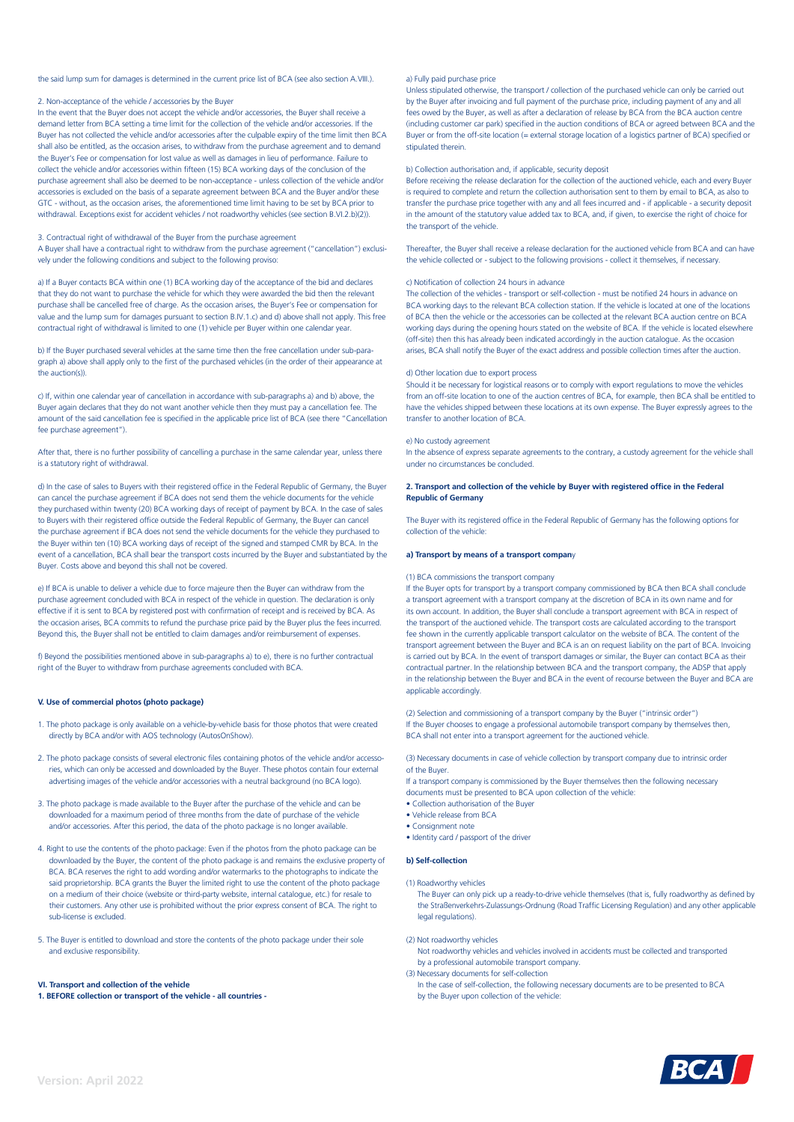the said lump sum for damages is determined in the current price list of BCA (see also section A.VIII.).

# 2. Non-acceptance of the vehicle / accessories by the Buyer

In the event that the Buyer does not accept the vehicle and/or accessories, the Buyer shall receive a demand letter from BCA setting a time limit for the collection of the vehicle and/or accessories. If the Buyer has not collected the vehicle and/or accessories after the culpable expiry of the time limit then BCA shall also be entitled, as the occasion arises, to withdraw from the purchase agreement and to demand the Buyer's Fee or compensation for lost value as well as damages in lieu of performance. Failure to collect the vehicle and/or accessories within fifteen (15) BCA working days of the conclusion of the purchase agreement shall also be deemed to be non-acceptance - unless collection of the vehicle and/or accessories is excluded on the basis of a separate agreement between BCA and the Buyer and/or these GTC - without, as the occasion arises, the aforementioned time limit having to be set by BCA prior to withdrawal. Exceptions exist for accident vehicles / not roadworthy vehicles (see section B.VI.2.b)(2)).

# 3. Contractual right of withdrawal of the Buyer from the purchase agreement

A Buyer shall have a contractual right to withdraw from the purchase agreement ("cancellation") exclusively under the following conditions and subject to the following proviso:

a) If a Buyer contacts BCA within one (1) BCA working day of the acceptance of the bid and declares that they do not want to purchase the vehicle for which they were awarded the bid then the relevant purchase shall be cancelled free of charge. As the occasion arises, the Buyer's Fee or compensation for value and the lump sum for damages pursuant to section B.IV.1.c) and d) above shall not apply. This free contractual right of withdrawal is limited to one (1) vehicle per Buyer within one calendar year.

b) If the Buyer purchased several vehicles at the same time then the free cancellation under sub-paragraph a) above shall apply only to the first of the purchased vehicles (in the order of their appearance at the auction(s)).

c) If, within one calendar year of cancellation in accordance with sub-paragraphs a) and b) above, the Buyer again declares that they do not want another vehicle then they must pay a cancellation fee. The amount of the said cancellation fee is specified in the applicable price list of BCA (see there "Cancellation fee purchase agreement").

After that, there is no further possibility of cancelling a purchase in the same calendar year, unless there is a statutory right of withdrawal.

d) In the case of sales to Buyers with their registered office in the Federal Republic of Germany, the Buyer can cancel the purchase agreement if BCA does not send them the vehicle documents for the vehicle they purchased within twenty (20) BCA working days of receipt of payment by BCA. In the case of sales to Buyers with their registered office outside the Federal Republic of Germany, the Buyer can cancel the purchase agreement if BCA does not send the vehicle documents for the vehicle they purchased to the Buyer within ten (10) BCA working days of receipt of the signed and stamped CMR by BCA. In the event of a cancellation, BCA shall bear the transport costs incurred by the Buyer and substantiated by the Buyer. Costs above and beyond this shall not be covered.

e) If BCA is unable to deliver a vehicle due to force majeure then the Buyer can withdraw from the purchase agreement concluded with BCA in respect of the vehicle in question. The declaration is only effective if it is sent to BCA by registered post with confirmation of receipt and is received by BCA. As the occasion arises, BCA commits to refund the purchase price paid by the Buyer plus the fees incurred. Beyond this, the Buyer shall not be entitled to claim damages and/or reimbursement of expenses.

f) Beyond the possibilities mentioned above in sub-paragraphs a) to e), there is no further contractual right of the Buyer to withdraw from purchase agreements concluded with BCA.

#### **V. Use of commercial photos (photo package)**

- 1. The photo package is only available on a vehicle-by-vehicle basis for those photos that were created directly by BCA and/or with AOS technology (AutosOnShow).
- 2. The photo package consists of several electronic files containing photos of the vehicle and/or accessories, which can only be accessed and downloaded by the Buyer. These photos contain four external advertising images of the vehicle and/or accessories with a neutral background (no BCA logo).
- 3. The photo package is made available to the Buyer after the purchase of the vehicle and can be downloaded for a maximum period of three months from the date of purchase of the vehicle and/or accessories. After this period, the data of the photo package is no longer available.
- 4. Right to use the contents of the photo package: Even if the photos from the photo package can be downloaded by the Buyer, the content of the photo package is and remains the exclusive property of BCA. BCA reserves the right to add wording and/or watermarks to the photographs to indicate the said proprietorship. BCA grants the Buyer the limited right to use the content of the photo package on a medium of their choice (website or third-party website, internal catalogue, etc.) for resale to their customers. Any other use is prohibited without the prior express consent of BCA. The right to sub-license is excluded.
- 5. The Buyer is entitled to download and store the contents of the photo package under their sole and exclusive responsibility.

#### **VI. Transport and collection of the vehicle**

**1. BEFORE collection or transport of the vehicle - all countries -**

# a) Fully paid purchase price

Unless stipulated otherwise, the transport / collection of the purchased vehicle can only be carried out by the Buyer after invoicing and full payment of the purchase price, including payment of any and all fees owed by the Buyer, as well as after a declaration of release by BCA from the BCA auction centre (including customer car park) specified in the auction conditions of BCA or agreed between BCA and the Buyer or from the off-site location (= external storage location of a logistics partner of BCA) specified or stipulated therein.

# b) Collection authorisation and, if applicable, security deposit

Before receiving the release declaration for the collection of the auctioned vehicle, each and every Buyer is required to complete and return the collection authorisation sent to them by email to BCA, as also to transfer the purchase price together with any and all fees incurred and - if applicable - a security deposit in the amount of the statutory value added tax to BCA, and, if given, to exercise the right of choice for the transport of the vehicle.

Thereafter, the Buyer shall receive a release declaration for the auctioned vehicle from BCA and can have the vehicle collected or - subject to the following provisions - collect it themselves, if necessary.

# c) Notification of collection 24 hours in advance

The collection of the vehicles - transport or self-collection - must be notified 24 hours in advance on BCA working days to the relevant BCA collection station. If the vehicle is located at one of the locations of BCA then the vehicle or the accessories can be collected at the relevant BCA auction centre on BCA working days during the opening hours stated on the website of BCA. If the vehicle is located elsewhere (off-site) then this has already been indicated accordingly in the auction catalogue. As the occasion arises, BCA shall notify the Buyer of the exact address and possible collection times after the auction.

# d) Other location due to export process

Should it be necessary for logistical reasons or to comply with export regulations to move the vehicles from an off-site location to one of the auction centres of BCA, for example, then BCA shall be entitled to have the vehicles shipped between these locations at its own expense. The Buyer expressly agrees to the transfer to another location of BCA.

## e) No custody agreement

In the absence of express separate agreements to the contrary, a custody agreement for the vehicle shall under no circumstances be concluded.

# **2. Transport and collection of the vehicle by Buyer with registered office in the Federal Republic of Germany**

The Buyer with its registered office in the Federal Republic of Germany has the following options for collection of the vehicle:

#### **a) Transport by means of a transport compan**y

(1) BCA commissions the transport company

If the Buyer opts for transport by a transport company commissioned by BCA then BCA shall conclude a transport agreement with a transport company at the discretion of BCA in its own name and for its own account. In addition, the Buyer shall conclude a transport agreement with BCA in respect of the transport of the auctioned vehicle. The transport costs are calculated according to the transport fee shown in the currently applicable transport calculator on the website of BCA. The content of the transport agreement between the Buyer and BCA is an on request liability on the part of BCA. Invoicing is carried out by BCA. In the event of transport damages or similar, the Buyer can contact BCA as their contractual partner. In the relationship between BCA and the transport company, the ADSP that apply in the relationship between the Buyer and BCA in the event of recourse between the Buyer and BCA are applicable accordingly.

(2) Selection and commissioning of a transport company by the Buyer ("intrinsic order") If the Buyer chooses to engage a professional automobile transport company by themselves then, BCA shall not enter into a transport agreement for the auctioned vehicle.

(3) Necessary documents in case of vehicle collection by transport company due to intrinsic order of the Buyer.

If a transport company is commissioned by the Buyer themselves then the following necessary documents must be presented to BCA upon collection of the vehicle:

- Collection authorisation of the Buyer
- Vehicle release from BCA
- Consignment note
- Identity card / passport of the driver

# **b) Self-collection**

(1) Roadworthy vehicles

The Buyer can only pick up a ready-to-drive vehicle themselves (that is, fully roadworthy as defined by the Straßenverkehrs-Zulassungs-Ordnung (Road Traffic Licensing Regulation) and any other applicable legal regulations).

(2) Not roadworthy vehicles

- Not roadworthy vehicles and vehicles involved in accidents must be collected and transported by a professional automobile transport company.
- (3) Necessary documents for self-collection
- In the case of self-collection, the following necessary documents are to be presented to BCA by the Buyer upon collection of the vehicle:

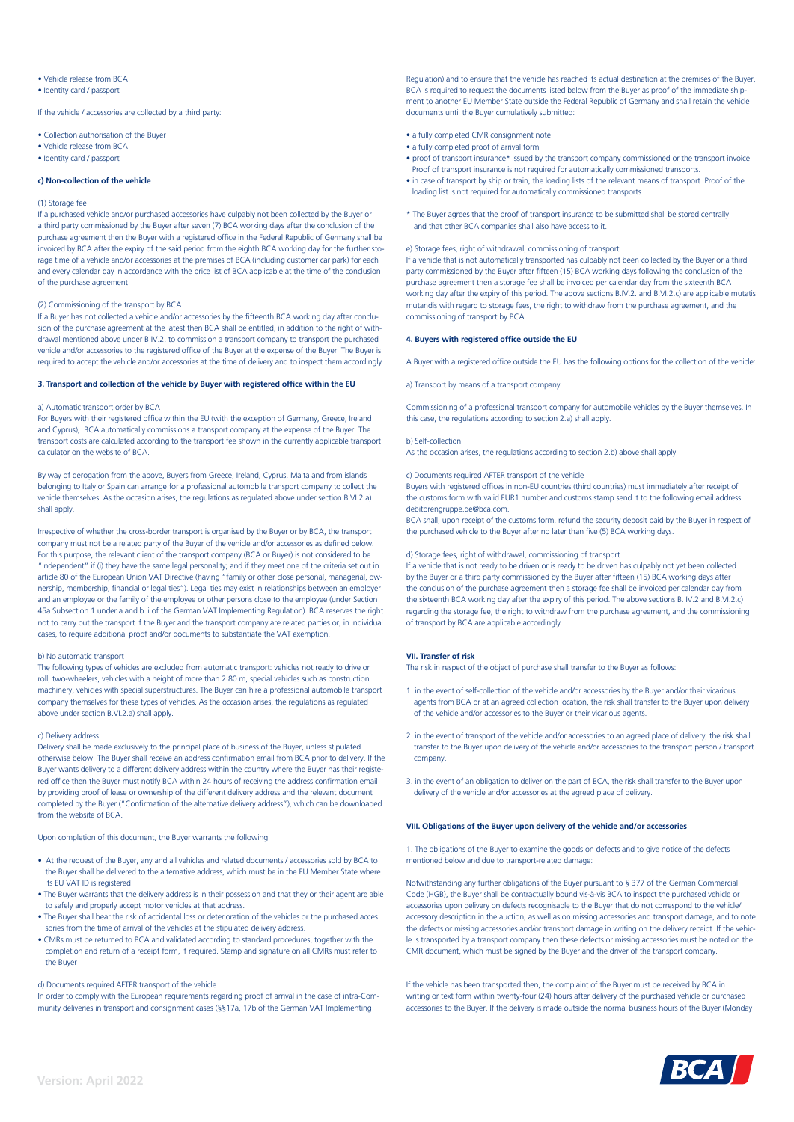# • Vehicle release from BCA

• Identity card / passport

If the vehicle / accessories are collected by a third party:

- Collection authorisation of the Buyer
- Vehicle release from BCA
- Identity card / passport

# **c) Non-collection of the vehicle**

# (1) Storage fee

If a purchased vehicle and/or purchased accessories have culpably not been collected by the Buyer or a third party commissioned by the Buyer after seven (7) BCA working days after the conclusion of the purchase agreement then the Buyer with a registered office in the Federal Republic of Germany shall be invoiced by BCA after the expiry of the said period from the eighth BCA working day for the further storage time of a vehicle and/or accessories at the premises of BCA (including customer car park) for each and every calendar day in accordance with the price list of BCA applicable at the time of the conclusion of the purchase agreement.

#### (2) Commissioning of the transport by BCA

If a Buyer has not collected a vehicle and/or accessories by the fifteenth BCA working day after conclusion of the purchase agreement at the latest then BCA shall be entitled, in addition to the right of withdrawal mentioned above under B.IV.2, to commission a transport company to transport the purchased vehicle and/or accessories to the registered office of the Buyer at the expense of the Buyer. The Buyer is required to accept the vehicle and/or accessories at the time of delivery and to inspect them accordingly.

# **3. Transport and collection of the vehicle by Buyer with registered office within the EU**

# a) Automatic transport order by BCA

For Buyers with their registered office within the EU (with the exception of Germany, Greece, Ireland and Cyprus), BCA automatically commissions a transport company at the expense of the Buyer. The transport costs are calculated according to the transport fee shown in the currently applicable transport calculator on the website of BCA.

By way of derogation from the above, Buyers from Greece, Ireland, Cyprus, Malta and from islands belonging to Italy or Spain can arrange for a professional automobile transport company to collect the vehicle themselves. As the occasion arises, the regulations as regulated above under section B.VI.2.a) shall apply.

Irrespective of whether the cross-border transport is organised by the Buyer or by BCA, the transport company must not be a related party of the Buyer of the vehicle and/or accessories as defined below. For this purpose, the relevant client of the transport company (BCA or Buyer) is not considered to be "independent" if (i) they have the same legal personality; and if they meet one of the criteria set out in article 80 of the European Union VAT Directive (having "family or other close personal, managerial, ownership, membership, financial or legal ties"). Legal ties may exist in relationships between an employer and an employee or the family of the employee or other persons close to the employee (under Section 45a Subsection 1 under a and b ii of the German VAT Implementing Regulation). BCA reserves the right not to carry out the transport if the Buyer and the transport company are related parties or, in individual cases, to require additional proof and/or documents to substantiate the VAT exemption.

#### b) No automatic transport

The following types of vehicles are excluded from automatic transport: vehicles not ready to drive or roll, two-wheelers, vehicles with a height of more than 2.80 m, special vehicles such as construction machinery, vehicles with special superstructures. The Buyer can hire a professional automobile transport company themselves for these types of vehicles. As the occasion arises, the regulations as regulated above under section B.VI.2.a) shall apply.

## c) Delivery address

Delivery shall be made exclusively to the principal place of business of the Buyer, unless stipulated otherwise below. The Buyer shall receive an address confirmation email from BCA prior to delivery. If the Buyer wants delivery to a different delivery address within the country where the Buyer has their registered office then the Buyer must notify BCA within 24 hours of receiving the address confirmation email by providing proof of lease or ownership of the different delivery address and the relevant document completed by the Buyer ("Confirmation of the alternative delivery address"), which can be downloaded from the website of BCA.

# Upon completion of this document, the Buyer warrants the following:

- At the request of the Buyer, any and all vehicles and related documents / accessories sold by BCA to the Buyer shall be delivered to the alternative address, which must be in the EU Member State where its EU VAT ID is registered.
- The Buyer warrants that the delivery address is in their possession and that they or their agent are able to safely and properly accept motor vehicles at that address.
- The Buyer shall bear the risk of accidental loss or deterioration of the vehicles or the purchased acces sories from the time of arrival of the vehicles at the stipulated delivery address.
- CMRs must be returned to BCA and validated according to standard procedures, together with the completion and return of a receipt form, if required. Stamp and signature on all CMRs must refer to the Buyer

# d) Documents required AFTER transport of the vehicle

In order to comply with the European requirements regarding proof of arrival in the case of intra-Community deliveries in transport and consignment cases (§§17a, 17b of the German VAT Implementing

Regulation) and to ensure that the vehicle has reached its actual destination at the premises of the Buyer, BCA is required to request the documents listed below from the Buyer as proof of the immediate shipment to another EU Member State outside the Federal Republic of Germany and shall retain the vehicle documents until the Buyer cumulatively submitted:

- a fully completed CMR consignment note
- a fully completed proof of arrival form
- proof of transport insurance\* issued by the transport company commissioned or the transport invoice. Proof of transport insurance is not required for automatically commissioned transports.
- in case of transport by ship or train, the loading lists of the relevant means of transport. Proof of the loading list is not required for automatically commissioned transports.
- \* The Buyer agrees that the proof of transport insurance to be submitted shall be stored centrally and that other BCA companies shall also have access to it.

#### e) Storage fees, right of withdrawal, commissioning of transport

If a vehicle that is not automatically transported has culpably not been collected by the Buyer or a third party commissioned by the Buyer after fifteen (15) BCA working days following the conclusion of the purchase agreement then a storage fee shall be invoiced per calendar day from the sixteenth BCA working day after the expiry of this period. The above sections B.IV.2. and B.VI.2.c) are applicable mutatis mutandis with regard to storage fees, the right to withdraw from the purchase agreement, and the commissioning of transport by BCA.

# **4. Buyers with registered office outside the EU**

A Buyer with a registered office outside the EU has the following options for the collection of the vehicle:

a) Transport by means of a transport company

Commissioning of a professional transport company for automobile vehicles by the Buyer themselves. In this case, the regulations according to section 2.a) shall apply.

#### b) Self-collection

As the occasion arises, the regulations according to section 2.b) above shall apply.

# c) Documents required AFTER transport of the vehicle

Buyers with registered offices in non-EU countries (third countries) must immediately after receipt of the customs form with valid EUR1 number and customs stamp send it to the following email address debitorengruppe.de@bca.com.

BCA shall, upon receipt of the customs form, refund the security deposit paid by the Buyer in respect of the purchased vehicle to the Buyer after no later than five (5) BCA working days.

# d) Storage fees, right of withdrawal, commissioning of transport

If a vehicle that is not ready to be driven or is ready to be driven has culpably not yet been collected by the Buyer or a third party commissioned by the Buyer after fifteen (15) BCA working days after the conclusion of the purchase agreement then a storage fee shall be invoiced per calendar day from the sixteenth BCA working day after the expiry of this period. The above sections B. IV.2 and B.VI.2.c) regarding the storage fee, the right to withdraw from the purchase agreement, and the commissioning of transport by BCA are applicable accordingly.

#### **VII. Transfer of risk**

The risk in respect of the object of purchase shall transfer to the Buyer as follows:

- 1. in the event of self-collection of the vehicle and/or accessories by the Buyer and/or their vicarious agents from BCA or at an agreed collection location, the risk shall transfer to the Buyer upon delivery of the vehicle and/or accessories to the Buyer or their vicarious agents.
- 2. in the event of transport of the vehicle and/or accessories to an agreed place of delivery, the risk shall transfer to the Buyer upon delivery of the vehicle and/or accessories to the transport person / transport company.
- 3. in the event of an obligation to deliver on the part of BCA, the risk shall transfer to the Buyer upon delivery of the vehicle and/or accessories at the agreed place of delivery.

# **VIII. Obligations of the Buyer upon delivery of the vehicle and/or accessories**

1. The obligations of the Buyer to examine the goods on defects and to give notice of the defects mentioned below and due to transport-related damage:

Notwithstanding any further obligations of the Buyer pursuant to § 377 of the German Commercial Code (HGB), the Buyer shall be contractually bound vis-à-vis BCA to inspect the purchased vehicle or accessories upon delivery on defects recognisable to the Buyer that do not correspond to the vehicle/ accessory description in the auction, as well as on missing accessories and transport damage, and to note the defects or missing accessories and/or transport damage in writing on the delivery receipt. If the vehicle is transported by a transport company then these defects or missing accessories must be noted on the CMR document, which must be signed by the Buyer and the driver of the transport company.

If the vehicle has been transported then, the complaint of the Buyer must be received by BCA in writing or text form within twenty-four (24) hours after delivery of the purchased vehicle or purchased accessories to the Buyer. If the delivery is made outside the normal business hours of the Buyer (Monday

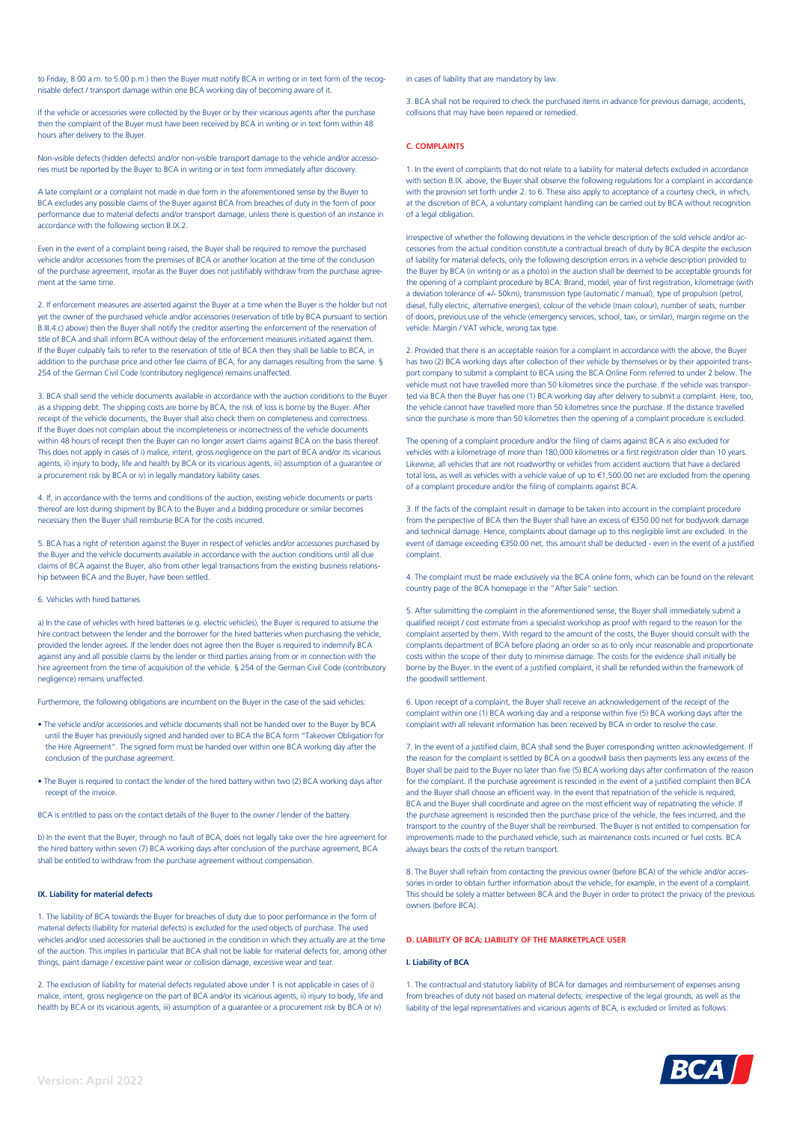to Friday, 8.00 a.m. to 5.00 p.m.) then the Buyer must notify BCA in writing or in text form of the recognisable defect / transport damage within one BCA working day of becoming aware of it.

If the vehicle or accessories were collected by the Buyer or by their vicarious agents after the purchase then the complaint of the Buyer must have been received by BCA in writing or in text form within 48 hours after delivery to the Buyer.

Non-visible defects (hidden defects) and/or non-visible transport damage to the vehicle and/or accessories must be reported by the Buyer to BCA in writing or in text form immediately after discovery.

A late complaint or a complaint not made in due form in the aforementioned sense by the Buyer to BCA excludes any possible claims of the Buyer against BCA from breaches of duty in the form of poor performance due to material defects and/or transport damage, unless there is question of an instance in accordance with the following section B.IX.2.

Even in the event of a complaint being raised, the Buyer shall be required to remove the purchased vehicle and/or accessories from the premises of BCA or another location at the time of the conclusion of the purchase agreement, insofar as the Buyer does not justifiably withdraw from the purchase agreement at the same time.

2. If enforcement measures are asserted against the Buyer at a time when the Buyer is the holder but not yet the owner of the purchased vehicle and/or accessories (reservation of title by BCA pursuant to section B.III.4.c) above) then the Buyer shall notify the creditor asserting the enforcement of the reservation of title of BCA and shall inform BCA without delay of the enforcement measures initiated against them. If the Buyer culpably fails to refer to the reservation of title of BCA then they shall be liable to BCA, in addition to the purchase price and other fee claims of BCA, for any damages resulting from the same. § 254 of the German Civil Code (contributory negligence) remains unaffected.

3. BCA shall send the vehicle documents available in accordance with the auction conditions to the Buyer as a shipping debt. The shipping costs are borne by BCA, the risk of loss is borne by the Buyer. After receipt of the vehicle documents, the Buyer shall also check them on completeness and correctness. If the Buyer does not complain about the incompleteness or incorrectness of the vehicle documents within 48 hours of receipt then the Buyer can no longer assert claims against BCA on the basis thereof. This does not apply in cases of i) malice, intent, gross negligence on the part of BCA and/or its vicarious agents, ii) injury to body, life and health by BCA or its vicarious agents, iii) assumption of a guarantee or a procurement risk by BCA or iv) in legally mandatory liability cases.

4. If, in accordance with the terms and conditions of the auction, existing vehicle documents or parts thereof are lost during shipment by BCA to the Buyer and a bidding procedure or similar becomes necessary then the Buyer shall reimburse BCA for the costs incurred.

5. BCA has a right of retention against the Buyer in respect of vehicles and/or accessories purchased by the Buyer and the vehicle documents available in accordance with the auction conditions until all due claims of BCA against the Buyer, also from other legal transactions from the existing business relationship between BCA and the Buyer, have been settled.

# 6. Vehicles with hired batteries

a) In the case of vehicles with hired batteries (e.g. electric vehicles), the Buyer is required to assume the hire contract between the lender and the borrower for the hired batteries when purchasing the vehicle, provided the lender agrees. If the lender does not agree then the Buyer is required to indemnify BCA against any and all possible claims by the lender or third parties arising from or in connection with the hire agreement from the time of acquisition of the vehicle. § 254 of the German Civil Code (contributory negligence) remains unaffected.

Furthermore, the following obligations are incumbent on the Buyer in the case of the said vehicles:

- The vehicle and/or accessories and vehicle documents shall not be handed over to the Buyer by BCA until the Buyer has previously signed and handed over to BCA the BCA form "Takeover Obligation for the Hire Agreement". The signed form must be handed over within one BCA working day after the conclusion of the purchase agreement.
- The Buyer is required to contact the lender of the hired battery within two (2) BCA working days after receipt of the invoice

BCA is entitled to pass on the contact details of the Buyer to the owner / lender of the battery.

b) In the event that the Buyer, through no fault of BCA, does not legally take over the hire agreement for the hired battery within seven (7) BCA working days after conclusion of the purchase agreement, BCA shall be entitled to withdraw from the purchase agreement without compensation.

# **IX. Liability for material defects**

1. The liability of BCA towards the Buyer for breaches of duty due to poor performance in the form of material defects (liability for material defects) is excluded for the used objects of purchase. The used vehicles and/or used accessories shall be auctioned in the condition in which they actually are at the time of the auction. This implies in particular that BCA shall not be liable for material defects for, among other things, paint damage / excessive paint wear or collision damage, excessive wear and tear.

2. The exclusion of liability for material defects regulated above under 1 is not applicable in cases of i) malice, intent, gross negligence on the part of BCA and/or its vicarious agents, ii) injury to body, life and health by BCA or its vicarious agents, iii) assumption of a guarantee or a procurement risk by BCA or iv)

in cases of liability that are mandatory by law.

3. BCA shall not be required to check the purchased items in advance for previous damage, accidents, collisions that may have been repaired or remedied.

# **C. COMPLAINTS**

1. In the event of complaints that do not relate to a liability for material defects excluded in accordance with section B.IX. above, the Buyer shall observe the following regulations for a complaint in accordance with the provision set forth under 2, to 6. These also apply to acceptance of a courtesy check, in which, at the discretion of BCA, a voluntary complaint handling can be carried out by BCA without recognition of a legal obligation.

Irrespective of whether the following deviations in the vehicle description of the sold vehicle and/or accessories from the actual condition constitute a contractual breach of duty by BCA despite the exclusion of liability for material defects, only the following description errors in a vehicle description provided to the Buyer by BCA (in writing or as a photo) in the auction shall be deemed to be acceptable grounds for the opening of a complaint procedure by BCA: Brand, model, year of first registration, kilometrage (with a deviation tolerance of +/- 50km), transmission type (automatic / manual), type of propulsion (petrol, diesel, fully electric, alternative energies), colour of the vehicle (main colour), number of seats, number of doors, previous use of the vehicle (emergency services, school, taxi, or similar), margin regime on the vehicle: Margin / VAT vehicle, wrong tax type.

2. Provided that there is an acceptable reason for a complaint in accordance with the above, the Buyer has two (2) BCA working days after collection of their vehicle by themselves or by their appointed transport company to submit a complaint to BCA using the BCA Online Form referred to under 2 below. The vehicle must not have travelled more than 50 kilometres since the purchase. If the vehicle was transported via BCA then the Buyer has one (1) BCA working day after delivery to submit a complaint. Here, too, the vehicle cannot have travelled more than 50 kilometres since the purchase. If the distance travelled since the purchase is more than 50 kilometres then the opening of a complaint procedure is excluded.

The opening of a complaint procedure and/or the filing of claims against BCA is also excluded for vehicles with a kilometrage of more than 180,000 kilometres or a first registration older than 10 years. Likewise, all vehicles that are not roadworthy or vehicles from accident auctions that have a declared total loss, as well as vehicles with a vehicle value of up to €1,500.00 net are excluded from the opening of a complaint procedure and/or the filing of complaints against BCA.

3. If the facts of the complaint result in damage to be taken into account in the complaint procedure from the perspective of BCA then the Buyer shall have an excess of €350.00 net for bodywork damage and technical damage. Hence, complaints about damage up to this negligible limit are excluded. In the event of damage exceeding €350.00 net, this amount shall be deducted - even in the event of a justified complaint.

4. The complaint must be made exclusively via the BCA online form, which can be found on the relevant country page of the BCA homepage in the "After Sale" section.

5. After submitting the complaint in the aforementioned sense, the Buyer shall immediately submit a qualified receipt / cost estimate from a specialist workshop as proof with regard to the reason for the complaint asserted by them. With regard to the amount of the costs, the Buyer should consult with the complaints department of BCA before placing an order so as to only incur reasonable and proportionate costs within the scope of their duty to minimise damage. The costs for the evidence shall initially be borne by the Buyer. In the event of a justified complaint, it shall be refunded within the framework of the goodwill settlement.

6. Upon receipt of a complaint, the Buyer shall receive an acknowledgement of the receipt of the complaint within one (1) BCA working day and a response within five (5) BCA working days after the complaint with all relevant information has been received by BCA in order to resolve the case

7. In the event of a justified claim, BCA shall send the Buyer corresponding written acknowledgement. If the reason for the complaint is settled by BCA on a goodwill basis then payments less any excess of the Buyer shall be paid to the Buyer no later than five (5) BCA working days after confirmation of the reason for the complaint. If the purchase agreement is rescinded in the event of a justified complaint then BCA and the Buyer shall choose an efficient way. In the event that repatriation of the vehicle is required, BCA and the Buyer shall coordinate and agree on the most efficient way of repatriating the vehicle. If the purchase agreement is rescinded then the purchase price of the vehicle, the fees incurred, and the transport to the country of the Buyer shall be reimbursed. The Buyer is not entitled to compensation for improvements made to the purchased vehicle, such as maintenance costs incurred or fuel costs. BCA always bears the costs of the return transport.

8. The Buyer shall refrain from contacting the previous owner (before BCA) of the vehicle and/or accessories in order to obtain further information about the vehicle, for example, in the event of a complaint. This should be solely a matter between BCA and the Buyer in order to protect the privacy of the previous owners (before BCA).

# **D. LIABILITY OF BCA; LIABILITY OF THE MARKETPLACE USER**

# **I. Liability of BCA**

1. The contractual and statutory liability of BCA for damages and reimbursement of expenses arising from breaches of duty not based on material defects, irrespective of the legal grounds, as well as the liability of the legal representatives and vicarious agents of BCA, is excluded or limited as follows: